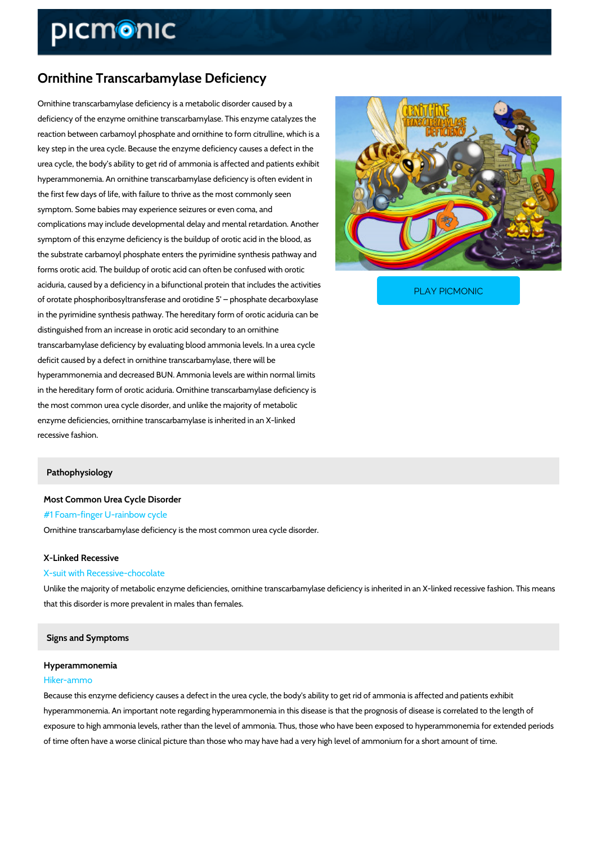# Ornithine Transcarbamylase Deficiency

Ornithine transcarbamylase deficiency is a metabolic disorder caused by a deficiency of the enzyme ornithine transcarbamylase. This enzyme catalyzes the reaction between carbamoyl phosphate and ornithine to form citrulline, which is a key step in the urea cycle. Because the enzyme deficiency causes a defect in the urea cycle, the body s ability to get rid of ammonia is affected and patients exhibit hyperammonemia. An ornithine transcarbamylase deficiency is often evident in the first few days of life, with failure to thrive as the most commonly seen symptom. Some babies may experience seizures or even coma, and complications may include developmental delay and mental retardation. Another symptom of this enzyme deficiency is the buildup of orotic acid in the blood, as the substrate carbamoyl phosphate enters the pyrimidine synthesis pathway and forms orotic acid. The buildup of orotic acid can often be confused with orotic aciduria, caused by a deficiency in a bifunctional protein that is activities that is

of orotate phosphoribosyltransferase and orotidine 5 ph

PLAY PICMONIC

in the pyrimidine synthesis pathway. The hereditary form of orotic aciduria can be distinguished from an increase in orotic acid secondary to an ornithine transcarbamylase deficiency by evaluating blood ammonia levels. In a urea cycle deficit caused by a defect in ornithine transcarbamylase, there will be hyperammonemia and decreased BUN. Ammonia levels are within normal limits in the hereditary form of orotic aciduria. Ornithine transcarbamylase deficiency is the most common urea cycle disorder, and unlike the majority of metabolic enzyme deficiencies, ornithine transcarbamylase is inherited in an X-linked recessive fashion.

### Pathophysiology

Most Common Urea Cycle Disorder #1 Foam-finger U-rainbow cycle Ornithine transcarbamylase deficiency is the most common urea cycle disorder.

## X-Linked Recessive

## X-suit with Recessive-chocolate

Unlike the majority of metabolic enzyme deficiencies, ornithine transcarbamylase deficiency is that this disorder is more prevalent in males than females.

#### Signs and Symptoms

# Hyperammonemia

# Hiker-ammo

Because this enzyme deficiency causes a defect in the urea cycle, the body's ability to get rid hyperammonemia. An important note regarding hyperammonemia in this disease is that the pro exposure to high ammonia levels, rather than the level of ammonia. Thus, those who have bee

of time often have a worse clinical picture than those who may have had a very high level of a